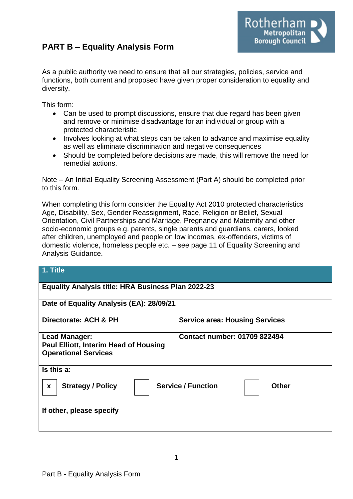# **PART B – Equality Analysis Form**



As a public authority we need to ensure that all our strategies, policies, service and functions, both current and proposed have given proper consideration to equality and diversity.

This form:

- Can be used to prompt discussions, ensure that due regard has been given and remove or minimise disadvantage for an individual or group with a protected characteristic
- Involves looking at what steps can be taken to advance and maximise equality as well as eliminate discrimination and negative consequences
- Should be completed before decisions are made, this will remove the need for remedial actions.

Note – An Initial Equality Screening Assessment (Part A) should be completed prior to this form.

When completing this form consider the Equality Act 2010 protected characteristics Age, Disability, Sex, Gender Reassignment, Race, Religion or Belief, Sexual Orientation, Civil Partnerships and Marriage, Pregnancy and Maternity and other socio-economic groups e.g. parents, single parents and guardians, carers, looked after children, unemployed and people on low incomes, ex-offenders, victims of domestic violence, homeless people etc. – see page 11 of Equality Screening and Analysis Guidance.

| 1. Title                                                                                            |                                       |  |
|-----------------------------------------------------------------------------------------------------|---------------------------------------|--|
| <b>Equality Analysis title: HRA Business Plan 2022-23</b>                                           |                                       |  |
| Date of Equality Analysis (EA): 28/09/21                                                            |                                       |  |
| Directorate: ACH & PH                                                                               | <b>Service area: Housing Services</b> |  |
| <b>Lead Manager:</b><br><b>Paul Elliott, Interim Head of Housing</b><br><b>Operational Services</b> | <b>Contact number: 01709 822494</b>   |  |
| Is this a:                                                                                          |                                       |  |
| <b>Service / Function</b><br><b>Strategy / Policy</b><br><b>Other</b><br>$\boldsymbol{x}$           |                                       |  |
| If other, please specify                                                                            |                                       |  |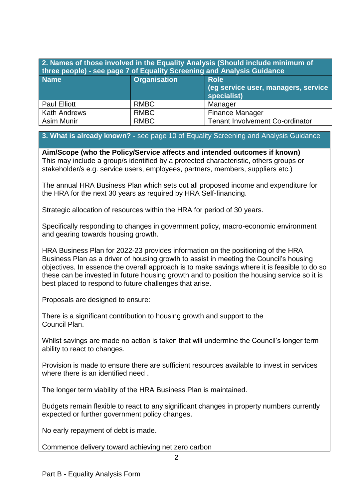| 2. Names of those involved in the Equality Analysis (Should include minimum of<br>three people) - see page 7 of Equality Screening and Analysis Guidance |                     |                                                                   |  |
|----------------------------------------------------------------------------------------------------------------------------------------------------------|---------------------|-------------------------------------------------------------------|--|
| <b>Name</b>                                                                                                                                              | <b>Organisation</b> | <b>Role</b><br>(eg service user, managers, service<br>specialist) |  |
| <b>Paul Elliott</b>                                                                                                                                      | <b>RMBC</b>         | Manager                                                           |  |
| <b>Kath Andrews</b>                                                                                                                                      | <b>RMBC</b>         | <b>Finance Manager</b>                                            |  |
| Asim Munir                                                                                                                                               | <b>RMBC</b>         | <b>Tenant Involvement Co-ordinator</b>                            |  |

## **3. What is already known? -** see page 10 of Equality Screening and Analysis Guidance

**Aim/Scope (who the Policy/Service affects and intended outcomes if known)** This may include a group/s identified by a protected characteristic, others groups or stakeholder/s e.g. service users, employees, partners, members, suppliers etc.)

The annual HRA Business Plan which sets out all proposed income and expenditure for the HRA for the next 30 years as required by HRA Self-financing.

Strategic allocation of resources within the HRA for period of 30 years.

Specifically responding to changes in government policy, macro-economic environment and gearing towards housing growth.

HRA Business Plan for 2022-23 provides information on the positioning of the HRA Business Plan as a driver of housing growth to assist in meeting the Council's housing objectives. In essence the overall approach is to make savings where it is feasible to do so these can be invested in future housing growth and to position the housing service so it is best placed to respond to future challenges that arise.

Proposals are designed to ensure:

There is a significant contribution to housing growth and support to the Council Plan.

Whilst savings are made no action is taken that will undermine the Council's longer term ability to react to changes.

Provision is made to ensure there are sufficient resources available to invest in services where there is an identified need.

The longer term viability of the HRA Business Plan is maintained.

Budgets remain flexible to react to any significant changes in property numbers currently expected or further government policy changes.

No early repayment of debt is made.

Commence delivery toward achieving net zero carbon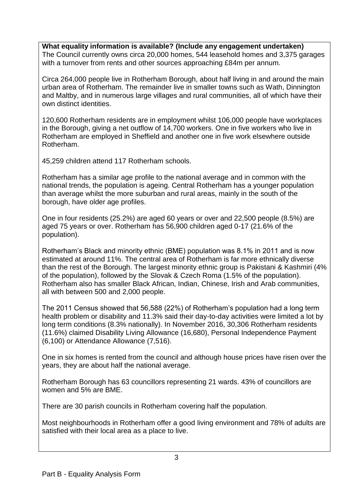**What equality information is available? (Include any engagement undertaken)** The Council currently owns circa 20,000 homes, 544 leasehold homes and 3,375 garages with a turnover from rents and other sources approaching £84m per annum.

Circa 264,000 people live in Rotherham Borough, about half living in and around the main urban area of Rotherham. The remainder live in smaller towns such as Wath, Dinnington and Maltby, and in numerous large villages and rural communities, all of which have their own distinct identities.

120,600 Rotherham residents are in employment whilst 106,000 people have workplaces in the Borough, giving a net outflow of 14,700 workers. One in five workers who live in Rotherham are employed in Sheffield and another one in five work elsewhere outside Rotherham.

45,259 children attend 117 Rotherham schools.

Rotherham has a similar age profile to the national average and in common with the national trends, the population is ageing. Central Rotherham has a younger population than average whilst the more suburban and rural areas, mainly in the south of the borough, have older age profiles.

One in four residents (25.2%) are aged 60 years or over and 22,500 people (8.5%) are aged 75 years or over. Rotherham has 56,900 children aged 0-17 (21.6% of the population).

Rotherham's Black and minority ethnic (BME) population was 8.1% in 2011 and is now estimated at around 11%. The central area of Rotherham is far more ethnically diverse than the rest of the Borough. The largest minority ethnic group is Pakistani & Kashmiri (4% of the population), followed by the Slovak & Czech Roma (1.5% of the population). Rotherham also has smaller Black African, Indian, Chinese, Irish and Arab communities, all with between 500 and 2,000 people.

The 2011 Census showed that 56,588 (22%) of Rotherham's population had a long term health problem or disability and 11.3% said their day-to-day activities were limited a lot by long term conditions (8.3% nationally). In November 2016, 30,306 Rotherham residents (11.6%) claimed Disability Living Allowance (16,680), Personal Independence Payment (6,100) or Attendance Allowance (7,516).

One in six homes is rented from the council and although house prices have risen over the years, they are about half the national average.

Rotherham Borough has 63 councillors representing 21 wards. 43% of councillors are women and 5% are BME.

There are 30 parish councils in Rotherham covering half the population.

Most neighbourhoods in Rotherham offer a good living environment and 78% of adults are satisfied with their local area as a place to live.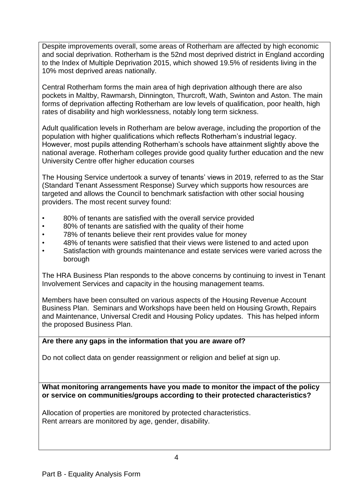Despite improvements overall, some areas of Rotherham are affected by high economic and social deprivation. Rotherham is the 52nd most deprived district in England according to the Index of Multiple Deprivation 2015, which showed 19.5% of residents living in the 10% most deprived areas nationally.

Central Rotherham forms the main area of high deprivation although there are also pockets in Maltby, Rawmarsh, Dinnington, Thurcroft, Wath, Swinton and Aston. The main forms of deprivation affecting Rotherham are low levels of qualification, poor health, high rates of disability and high worklessness, notably long term sickness.

Adult qualification levels in Rotherham are below average, including the proportion of the population with higher qualifications which reflects Rotherham's industrial legacy. However, most pupils attending Rotherham's schools have attainment slightly above the national average. Rotherham colleges provide good quality further education and the new University Centre offer higher education courses

The Housing Service undertook a survey of tenants' views in 2019, referred to as the Star (Standard Tenant Assessment Response) Survey which supports how resources are targeted and allows the Council to benchmark satisfaction with other social housing providers. The most recent survey found:

- 80% of tenants are satisfied with the overall service provided
- 80% of tenants are satisfied with the quality of their home
- 78% of tenants believe their rent provides value for money
- 48% of tenants were satisfied that their views were listened to and acted upon
- Satisfaction with grounds maintenance and estate services were varied across the borough

The HRA Business Plan responds to the above concerns by continuing to invest in Tenant Involvement Services and capacity in the housing management teams.

Members have been consulted on various aspects of the Housing Revenue Account Business Plan. Seminars and Workshops have been held on Housing Growth, Repairs and Maintenance, Universal Credit and Housing Policy updates. This has helped inform the proposed Business Plan.

# **Are there any gaps in the information that you are aware of?**

Do not collect data on gender reassignment or religion and belief at sign up.

**What monitoring arrangements have you made to monitor the impact of the policy or service on communities/groups according to their protected characteristics?**

Allocation of properties are monitored by protected characteristics. Rent arrears are monitored by age, gender, disability.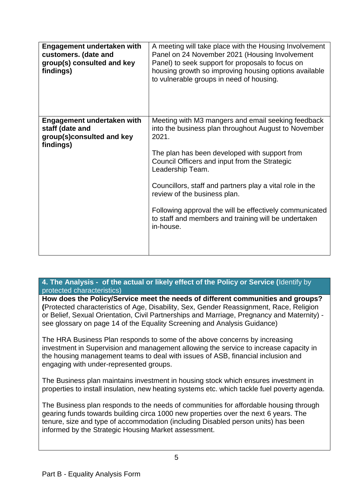| Engagement undertaken with<br>customers. (date and<br>group(s) consulted and key<br>findings)  | A meeting will take place with the Housing Involvement<br>Panel on 24 November 2021 (Housing Involvement<br>Panel) to seek support for proposals to focus on<br>housing growth so improving housing options available<br>to vulnerable groups in need of housing.                                                                                                                                                                                                     |
|------------------------------------------------------------------------------------------------|-----------------------------------------------------------------------------------------------------------------------------------------------------------------------------------------------------------------------------------------------------------------------------------------------------------------------------------------------------------------------------------------------------------------------------------------------------------------------|
| <b>Engagement undertaken with</b><br>staff (date and<br>group(s)consulted and key<br>findings) | Meeting with M3 mangers and email seeking feedback<br>into the business plan throughout August to November<br>2021.<br>The plan has been developed with support from<br>Council Officers and input from the Strategic<br>Leadership Team.<br>Councillors, staff and partners play a vital role in the<br>review of the business plan.<br>Following approval the will be effectively communicated<br>to staff and members and training will be undertaken<br>in-house. |

### **4. The Analysis - of the actual or likely effect of the Policy or Service (**Identify by protected characteristics)

**How does the Policy/Service meet the needs of different communities and groups? (**Protected characteristics of Age, Disability, Sex, Gender Reassignment, Race, Religion or Belief, Sexual Orientation, Civil Partnerships and Marriage, Pregnancy and Maternity) see glossary on page 14 of the Equality Screening and Analysis Guidance)

The HRA Business Plan responds to some of the above concerns by increasing investment in Supervision and management allowing the service to increase capacity in the housing management teams to deal with issues of ASB, financial inclusion and engaging with under-represented groups.

The Business plan maintains investment in housing stock which ensures investment in properties to install insulation, new heating systems etc. which tackle fuel poverty agenda.

The Business plan responds to the needs of communities for affordable housing through gearing funds towards building circa 1000 new properties over the next 6 years. The tenure, size and type of accommodation (including Disabled person units) has been informed by the Strategic Housing Market assessment.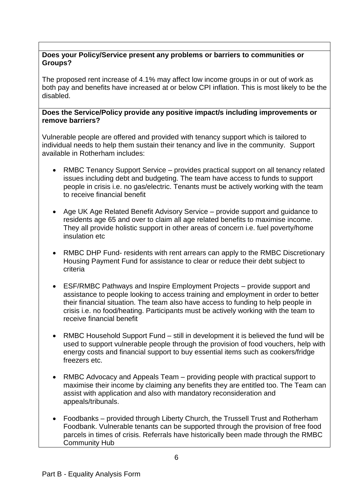### **Does your Policy/Service present any problems or barriers to communities or Groups?**

The proposed rent increase of 4.1% may affect low income groups in or out of work as both pay and benefits have increased at or below CPI inflation. This is most likely to be the disabled.

### **Does the Service/Policy provide any positive impact/s including improvements or remove barriers?**

Vulnerable people are offered and provided with tenancy support which is tailored to individual needs to help them sustain their tenancy and live in the community. Support available in Rotherham includes:

- RMBC Tenancy Support Service provides practical support on all tenancy related issues including debt and budgeting. The team have access to funds to support people in crisis i.e. no gas/electric. Tenants must be actively working with the team to receive financial benefit
- Age UK Age Related Benefit Advisory Service provide support and guidance to residents age 65 and over to claim all age related benefits to maximise income. They all provide holistic support in other areas of concern i.e. fuel poverty/home insulation etc
- RMBC DHP Fund- residents with rent arrears can apply to the RMBC Discretionary Housing Payment Fund for assistance to clear or reduce their debt subject to criteria
- ESF/RMBC Pathways and Inspire Employment Projects provide support and assistance to people looking to access training and employment in order to better their financial situation. The team also have access to funding to help people in crisis i.e. no food/heating. Participants must be actively working with the team to receive financial benefit
- RMBC Household Support Fund still in development it is believed the fund will be used to support vulnerable people through the provision of food vouchers, help with energy costs and financial support to buy essential items such as cookers/fridge freezers etc.
- RMBC Advocacy and Appeals Team providing people with practical support to maximise their income by claiming any benefits they are entitled too. The Team can assist with application and also with mandatory reconsideration and appeals/tribunals.
- Foodbanks provided through Liberty Church, the Trussell Trust and Rotherham Foodbank. Vulnerable tenants can be supported through the provision of free food parcels in times of crisis. Referrals have historically been made through the RMBC Community Hub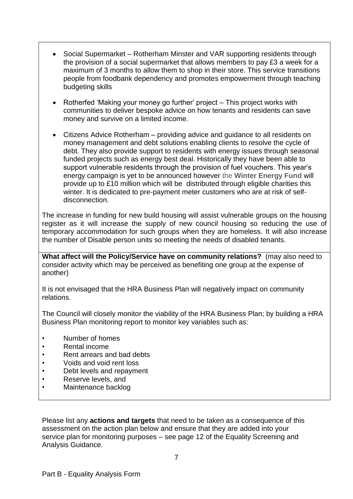- Social Supermarket Rotherham Minster and VAR supporting residents through the provision of a social supermarket that allows members to pay £3 a week for a maximum of 3 months to allow them to shop in their store. This service transitions people from foodbank dependency and promotes empowerment through teaching budgeting skills
- Rotherfed 'Making your money go further' project This project works with communities to deliver bespoke advice on how tenants and residents can save money and survive on a limited income.
- Citizens Advice Rotherham providing advice and guidance to all residents on money management and debt solutions enabling clients to resolve the cycle of debt. They also provide support to residents with energy issues through seasonal funded projects such as energy best deal. Historically they have been able to support vulnerable residents through the provision of fuel vouchers. This year's energy campaign is yet to be announced however the **Winter Energy Fund** will provide up to £10 million which will be distributed through eligible charities this winter. It is dedicated to pre-payment meter customers who are at risk of selfdisconnection.

The increase in funding for new build housing will assist vulnerable groups on the housing register as it will increase the supply of new council housing so reducing the use of temporary accommodation for such groups when they are homeless. It will also increase the number of Disable person units so meeting the needs of disabled tenants.

**What affect will the Policy/Service have on community relations?** (may also need to consider activity which may be perceived as benefiting one group at the expense of another)

It is not envisaged that the HRA Business Plan will negatively impact on community relations.

The Council will closely monitor the viability of the HRA Business Plan; by building a HRA Business Plan monitoring report to monitor key variables such as:

- Number of homes
- Rental income
- Rent arrears and bad debts
- Voids and void rent loss
- Debt levels and repayment
- Reserve levels, and
- Maintenance backlog

Please list any **actions and targets** that need to be taken as a consequence of this assessment on the action plan below and ensure that they are added into your service plan for monitoring purposes – see page 12 of the Equality Screening and Analysis Guidance.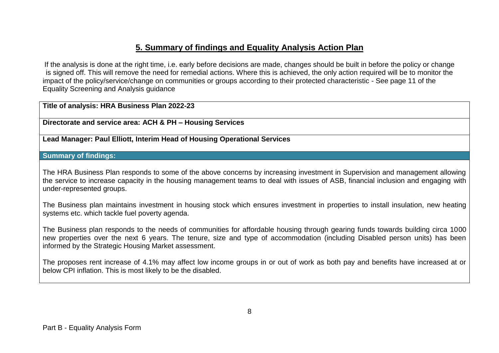# **5. Summary of findings and Equality Analysis Action Plan**

If the analysis is done at the right time, i.e. early before decisions are made, changes should be built in before the policy or change is signed off. This will remove the need for remedial actions. Where this is achieved, the only action required will be to monitor the impact of the policy/service/change on communities or groups according to their protected characteristic - See page 11 of the Equality Screening and Analysis guidance

### **Title of analysis: HRA Business Plan 2022-23**

**Directorate and service area: ACH & PH – Housing Services**

**Lead Manager: Paul Elliott, Interim Head of Housing Operational Services**

### **Summary of findings:**

The HRA Business Plan responds to some of the above concerns by increasing investment in Supervision and management allowing the service to increase capacity in the housing management teams to deal with issues of ASB, financial inclusion and engaging with under-represented groups.

The Business plan maintains investment in housing stock which ensures investment in properties to install insulation, new heating systems etc. which tackle fuel poverty agenda.

The Business plan responds to the needs of communities for affordable housing through gearing funds towards building circa 1000 new properties over the next 6 years. The tenure, size and type of accommodation (including Disabled person units) has been informed by the Strategic Housing Market assessment.

The proposes rent increase of 4.1% may affect low income groups in or out of work as both pay and benefits have increased at or below CPI inflation. This is most likely to be the disabled.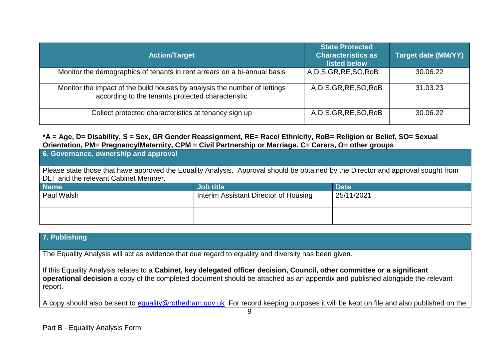| <b>Action/Target</b>                                                                                                           | <b>State Protected</b><br><b>Characteristics as</b><br>listed below | <b>Target date (MM/YY)</b> |
|--------------------------------------------------------------------------------------------------------------------------------|---------------------------------------------------------------------|----------------------------|
| Monitor the demographics of tenants in rent arrears on a bi-annual basis                                                       | A, D, S, GR, RE, SO, RoB                                            | 30.06.22                   |
| Monitor the impact of the build houses by analysis the number of lettings<br>according to the tenants protected characteristic | A, D, S, GR, RE, SO, RoB                                            | 31.03.23                   |
| Collect protected characteristics at tenancy sign up                                                                           | A, D, S, GR, RE, SO, RoB                                            | 30.06.22                   |

### **\*A = Age, D= Disability, S = Sex, GR Gender Reassignment, RE= Race/ Ethnicity, RoB= Religion or Belief, SO= Sexual Orientation, PM= Pregnancy/Maternity, CPM = Civil Partnership or Marriage. C= Carers, O= other groups**

| 6. Governance, ownership and approval                                                                                             |                                       |             |  |  |
|-----------------------------------------------------------------------------------------------------------------------------------|---------------------------------------|-------------|--|--|
| Please state those that have approved the Equality Analysis. Approval should be obtained by the Director and approval sought from |                                       |             |  |  |
| DLT and the relevant Cabinet Member.                                                                                              |                                       |             |  |  |
| <b>Name</b>                                                                                                                       | <b>Job title</b>                      | <b>Date</b> |  |  |
| Paul Walsh                                                                                                                        | Interim Assistant Director of Housing | 25/11/2021  |  |  |
|                                                                                                                                   |                                       |             |  |  |
|                                                                                                                                   |                                       |             |  |  |
|                                                                                                                                   |                                       |             |  |  |

# **7. Publishing**

The Equality Analysis will act as evidence that due regard to equality and diversity has been given.

If this Equality Analysis relates to a **Cabinet, key delegated officer decision, Council, other committee or a significant operational decision** a copy of the completed document should be attached as an appendix and published alongside the relevant report.

A copy should also be sent to [equality@rotherham.gov.uk](mailto:equality@rotherham.gov.uk) For record keeping purposes it will be kept on file and also published on the